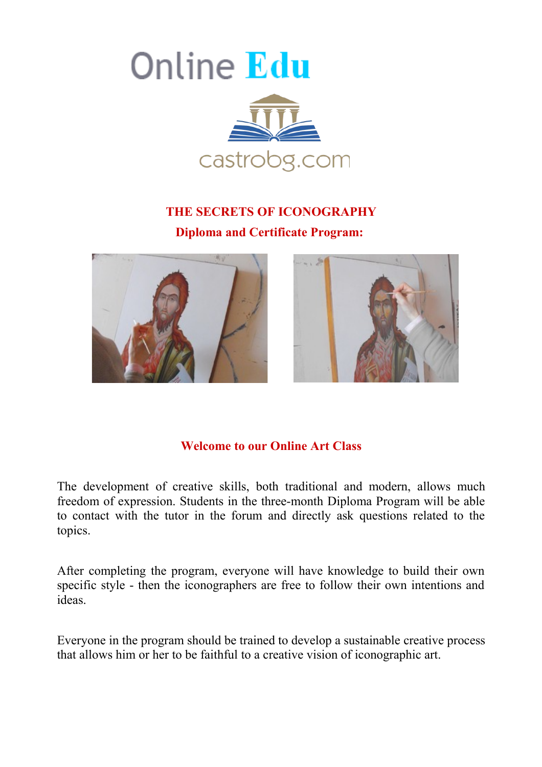

# **THE SECRETS OF ICONOGRAPHY Diploma and Certificate Program:**





# **Welcome to our Online Art Class**

The development of creative skills, both traditional and modern, allows much freedom of expression. Students in the three-month Diploma Program will be able to contact with the tutor in the forum and directly ask questions related to the topics.

After completing the program, everyone will have knowledge to build their own specific style - then the iconographers are free to follow their own intentions and ideas.

Everyone in the program should be trained to develop a sustainable creative process that allows him or her to be faithful to a creative vision of iconographic art.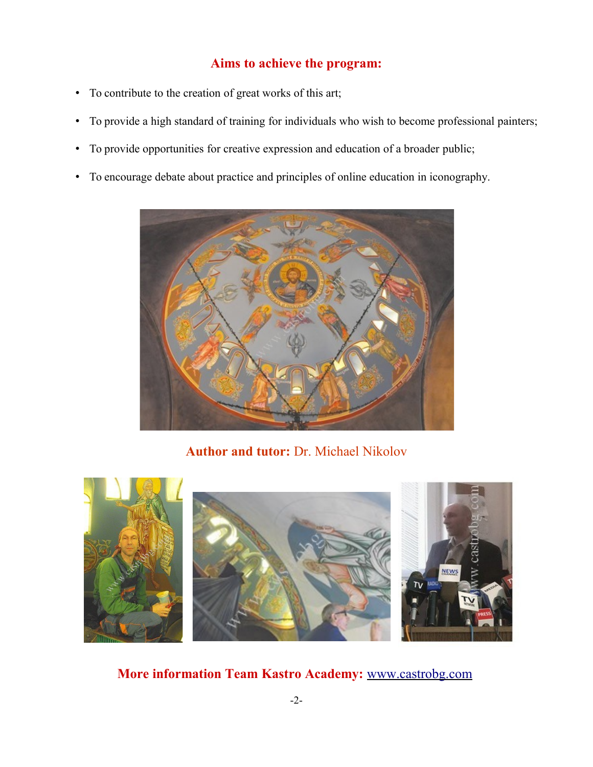# **Aims to achieve the program:**

- To contribute to the creation of great works of this art;
- To provide a high standard of training for individuals who wish to become professional painters;
- To provide opportunities for creative expression and education of a broader public;
- To encourage debate about practice and principles of online education in iconography.



**Author and tutor:** Dr. Michael Nikolov



**More information Team Kastro Academy:** [www.castrobg.com](http://www.castrobg.com/)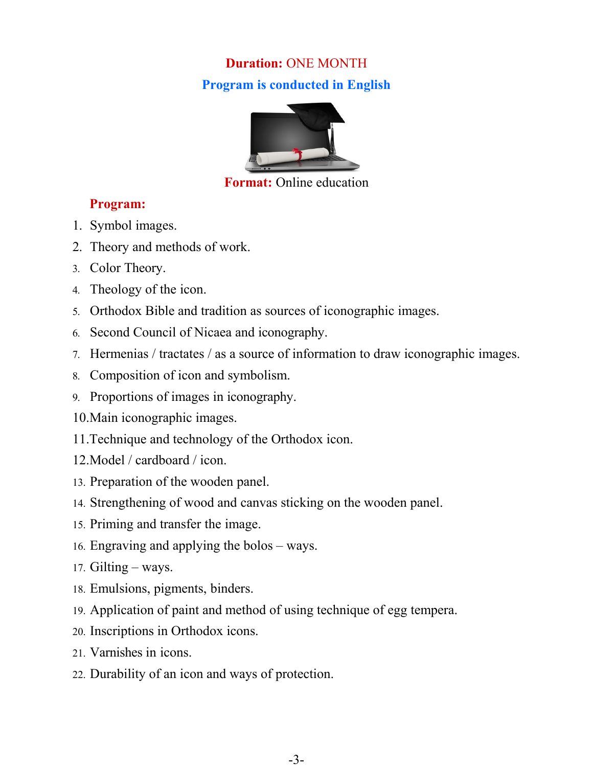# **Duration:** ONE MONTH **Program is conducted in English**



## **Format:** Online education

# **Program:**

- 1. Symbol images.
- 2. Theory and methods of work.
- 3. Color Theory.
- 4. Theology of the icon.
- 5. Orthodox Bible and tradition as sources of iconographic images.
- 6. Second Council of Nicaea and iconography.
- 7. Hermenias / tractates / as a source of information to draw iconographic images.
- 8. Composition of icon and symbolism.
- 9. Proportions of images in iconography.
- 10.Main iconographic images.
- 11.Technique and technology of the Orthodox icon.
- 12.Model / cardboard / icon.
- 13. Preparation of the wooden panel.
- 14. Strengthening of wood and canvas sticking on the wooden panel.
- 15. Priming and transfer the image.
- 16. Engraving and applying the bolos ways.
- 17. Gilting ways.
- 18. Emulsions, pigments, binders.
- 19. Application of paint and method of using technique of egg tempera.
- 20. Inscriptions in Orthodox icons.
- 21. Varnishes in icons.
- 22. Durability of an icon and ways of protection.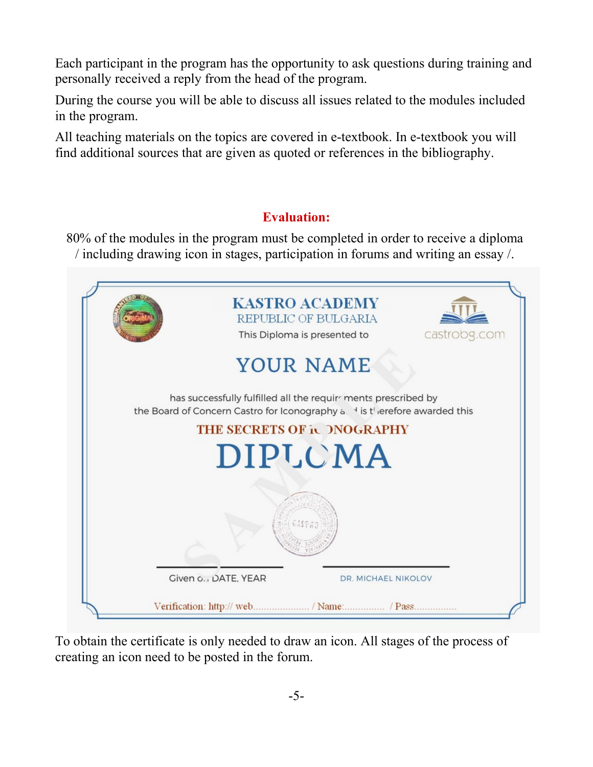Each participant in the program has the opportunity to ask questions during training and personally received a reply from the head of the program.

During the course you will be able to discuss all issues related to the modules included in the program.

All teaching materials on the topics are covered in e-textbook. In e-textbook you will find additional sources that are given as quoted or references in the bibliography.

# **Evaluation:**

80% of the modules in the program must be completed in order to receive a diploma / including drawing icon in stages, participation in forums and writing an essay /.



To obtain the certificate is only needed to draw an icon. All stages of the process of creating an icon need to be posted in the forum.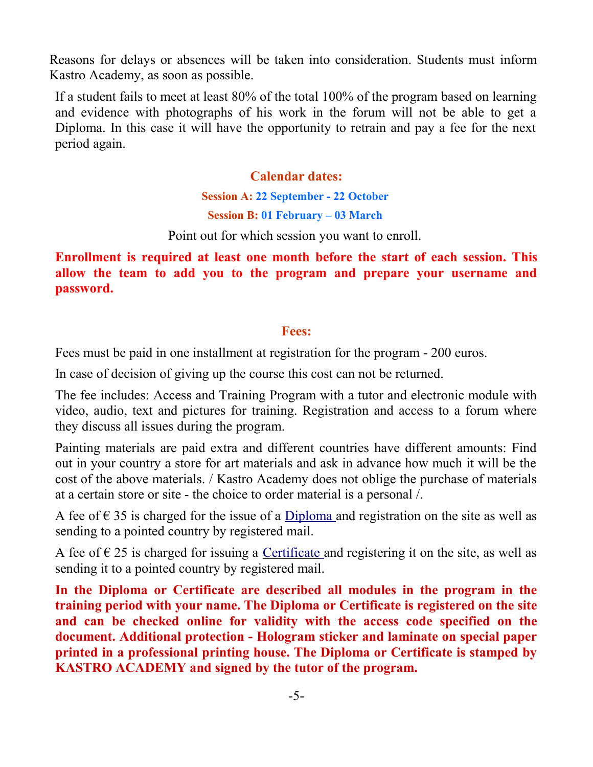Reasons for delays or absences will be taken into consideration. Students must inform Kastro Academy, as soon as possible.

If a student fails to meet at least 80% of the total 100% of the program based on learning and evidence with photographs of his work in the forum will not be able to get a Diploma. In this case it will have the opportunity to retrain and pay a fee for the next period again.

# **Calendar dates:**

**Session A: 22 September - 22 October**

**Session B: 01 February – 03 March**

Point out for which session you want to enroll.

**Enrollment is required at least one month before the start of each session. This allow the team to add you to the program and prepare your username and password.**

# **Fees:**

Fees must be paid in one installment at registration for the program - 200 euros.

In case of decision of giving up the course this cost can not be returned.

The fee includes: Access and Training Program with a tutor and electronic module with video, audio, text and pictures for training. Registration and access to a forum where they discuss all issues during the program.

Painting materials are paid extra and different countries have different amounts: Find out in your country a store for art materials and ask in advance how much it will be the cost of the above materials. / Kastro Academy does not oblige the purchase of materials at a certain store or site - the choice to order material is a personal /.

A fee of  $\epsilon$  35 is charged for the issue of a Diploma and registration on the site as well as sending to a pointed country by registered mail.

A fee of  $\epsilon$  25 is charged for issuing a [Certificate](http://e-shop.castrobg.com/art/index.php?main_page=product_info&cPath=184_223&products_id=1472) and registering it on the site, as well as sending it to a pointed country by registered mail.

**In the Diploma or Certificate are described all modules in the program in the training period with your name. The Diploma or Certificate is registered on the site and can be checked online for validity with the access code specified on the document. Additional protection - Hologram sticker and laminate on special paper printed in a professional printing house. The Diploma or Certificate is stamped by KASTRO ACADEMY and signed by the tutor of the program.**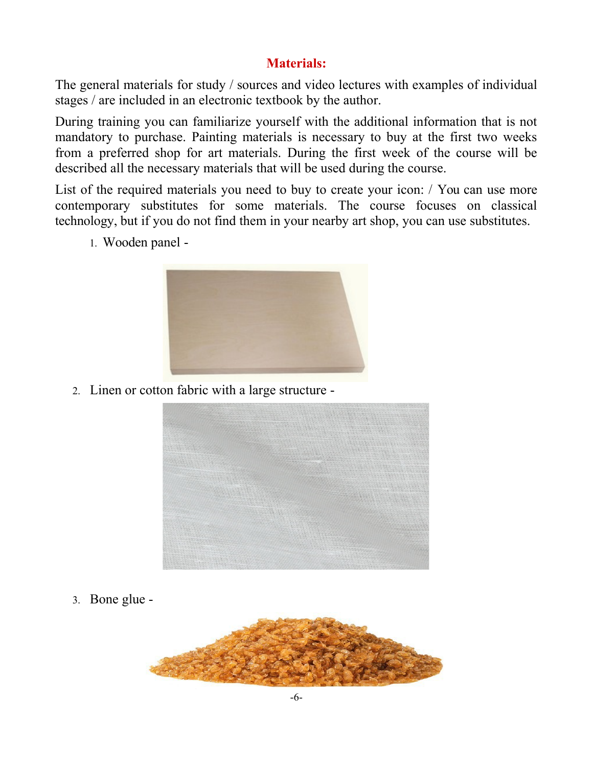# **Materials:**

The general materials for study / sources and video lectures with examples of individual stages / are included in an electronic textbook by the author.

During training you can familiarize yourself with the additional information that is not mandatory to purchase. Painting materials is necessary to buy at the first two weeks from a preferred shop for art materials. During the first week of the course will be described all the necessary materials that will be used during the course.

List of the required materials you need to buy to create your icon: / You can use more contemporary substitutes for some materials. The course focuses on classical technology, but if you do not find them in your nearby art shop, you can use substitutes.

1. Wooden panel -



2. Linen or cotton fabric with a large structure -



3. Bone glue -

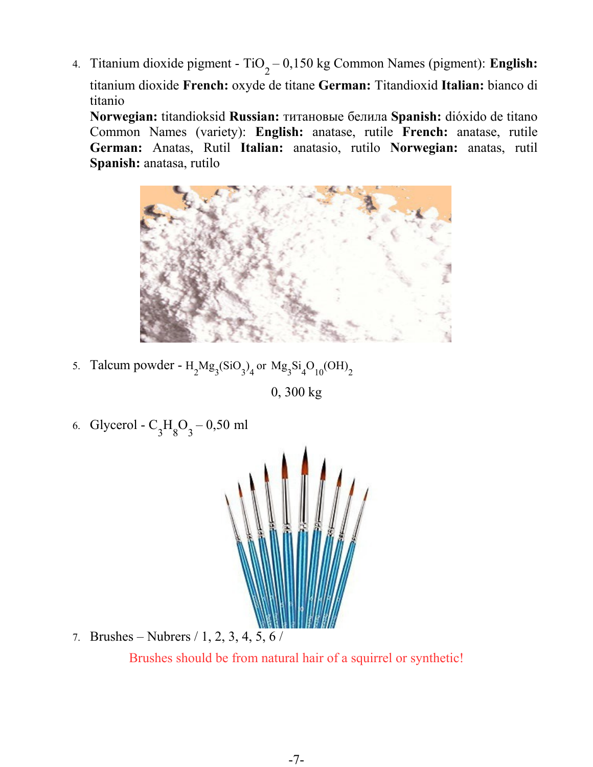4. Titanium dioxide pigment - TiO<sub>2</sub> – 0,150 kg Common Names (pigment): **English:** titanium dioxide **French:** oxyde de titane **German:** Titandioxid **Italian:** bianco di titanio

**Norwegian:** titandioksid **Russian:** титановые белила **Spanish:** dióxido de titano Common Names (variety): **English:** anatase, rutile **French:** anatase, rutile **German:** Anatas, Rutil **Italian:** anatasio, rutilo **Norwegian:** anatas, rutil **Spanish:** anatasa, rutilo



5. Talcum powder -  $H_2Mg_3(SiO_3)_4$  or  $Mg_3Si_4O_{10}(OH)_2$ 

0, 300 kg

6. Glycerol -  $C_3H_8O_3 - 0.50$  ml



7. Brushes – Nubrers / 1, 2, 3, 4, 5, 6 / Brushes should be from natural hair of a squirrel or synthetic!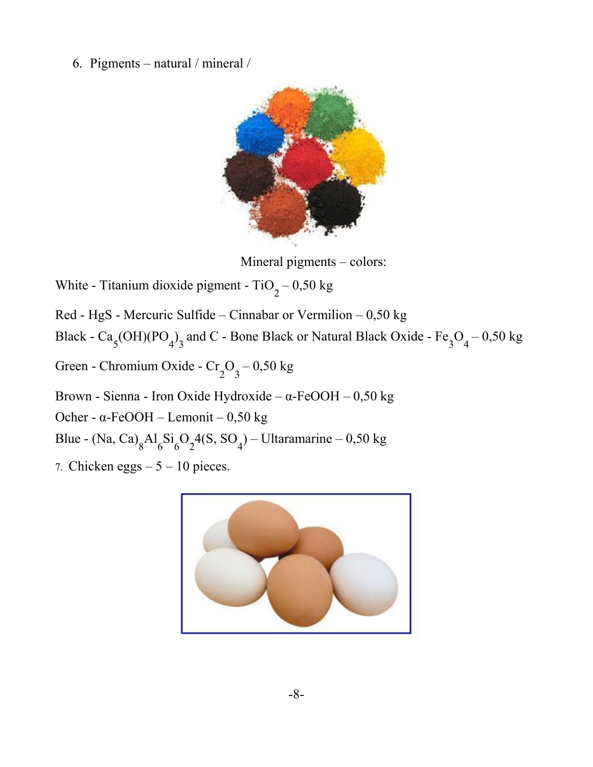6. Pigments – natural / mineral /



Mineral pigments – colors:

- White Titanium dioxide pigment  $TiO_2 0.50$  kg
- Red HgS Mercuric Sulfide Cinnabar or Vermilion 0,50 kg
- Black  $Ca_5(OH)(PO_4)_3$  and C Bone Black or Natural Black Oxide  $Fe_3O_4 0.50$  kg
- Green Chromium Oxide  $Cr_2O_3 0.50$  kg
- Brown Sienna Iron Oxide Hydroxide α-FeOOH 0,50 kg
- Ocher α-FeOOH Lemonit 0,50 kg
- Blue (Na, Ca)<sub>8</sub>Al<sub>6</sub>Si<sub>6</sub>O<sub>2</sub>4(S, SO<sub>4</sub>) Ultaramarine 0,50 kg
- 7. Chicken eggs  $-5 10$  pieces.

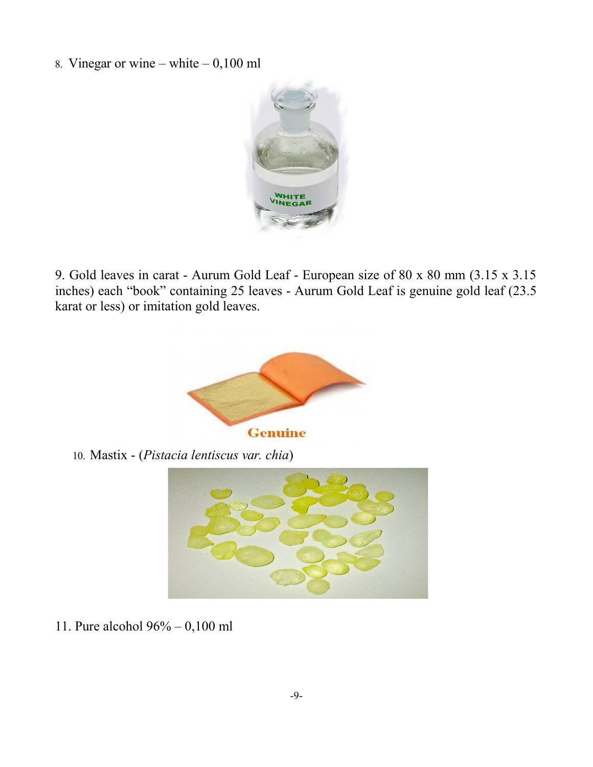8. Vinegar or wine – white –  $0,100$  ml



9. Gold leaves in carat - Aurum Gold Leaf - European size of 80 x 80 mm (3.15 x 3.15 inches) each "book" containing 25 leaves - Aurum Gold Leaf is genuine gold leaf (23.5 karat or less) or imitation gold leaves.



10. Mastix - (*Pistacia lentiscus var. chia*)



11. Pure alcohol 96% – 0,100 ml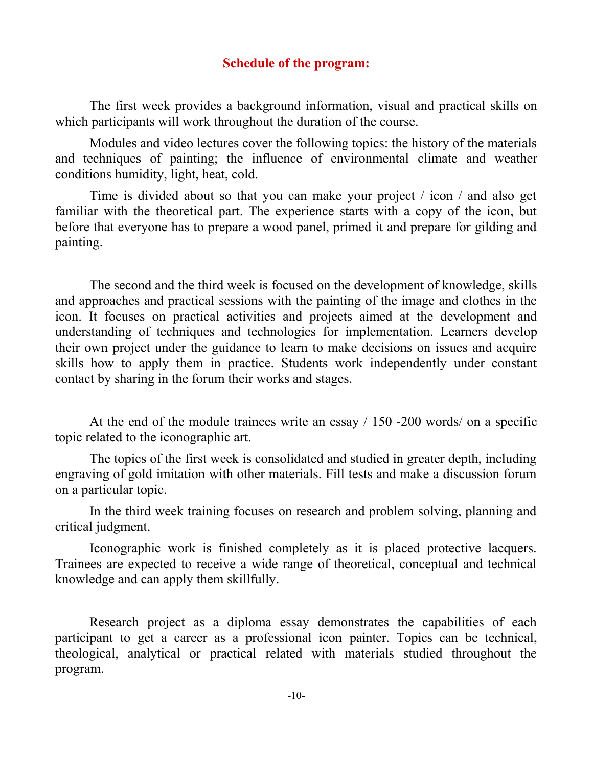### **Schedule of the program:**

The first week provides a background information, visual and practical skills on which participants will work throughout the duration of the course.

Modules and video lectures cover the following topics: the history of the materials and techniques of painting; the influence of environmental climate and weather conditions humidity, light, heat, cold.

Time is divided about so that you can make your project / icon / and also get familiar with the theoretical part. The experience starts with a copy of the icon, but before that everyone has to prepare a wood panel, primed it and prepare for gilding and painting.

The second and the third week is focused on the development of knowledge, skills and approaches and practical sessions with the painting of the image and clothes in the icon. It focuses on practical activities and projects aimed at the development and understanding of techniques and technologies for implementation. Learners develop their own project under the guidance to learn to make decisions on issues and acquire skills how to apply them in practice. Students work independently under constant contact by sharing in the forum their works and stages.

At the end of the module trainees write an essay / 150 -200 words/ on a specific topic related to the iconographic art.

The topics of the first week is consolidated and studied in greater depth, including engraving of gold imitation with other materials. Fill tests and make a discussion forum on a particular topic.

In the third week training focuses on research and problem solving, planning and critical judgment.

Iconographic work is finished completely as it is placed protective lacquers. Trainees are expected to receive a wide range of theoretical, conceptual and technical knowledge and can apply them skillfully.

Research project as a diploma essay demonstrates the capabilities of each participant to get a career as a professional icon painter. Topics can be technical, theological, analytical or practical related with materials studied throughout the program.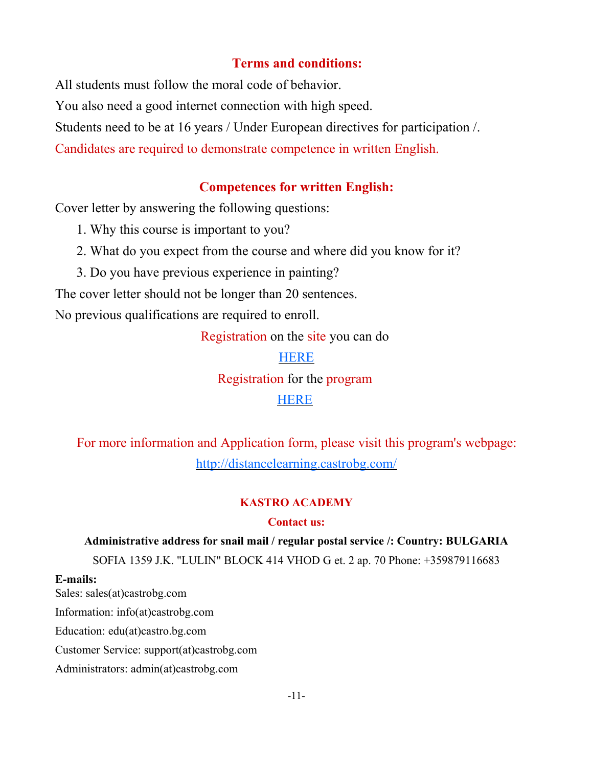## **Terms and conditions:**

All students must follow the moral code of behavior. You also need a good internet connection with high speed. Students need to be at 16 years / Under European directives for participation /. Candidates are required to demonstrate competence in written English.

### **Competences for written English:**

Cover letter by answering the following questions:

- 1. Why this course is important to you?
- 2. What do you expect from the course and where did you know for it?
- 3. Do you have previous experience in painting?

The cover letter should not be longer than 20 sentences.

No previous qualifications are required to enroll.

Registration on the site you can do

**[HERE](https://e-shop.castrobg.com/art/index.php?main_page=login&language=en&zenid=864227fc999957b6e3a7c8110bc41113%20)** 

Registration for the program

### [HERE](http://e-shop.castrobg.com/art/index.php?main_page=product_info&cPath=184_223&products_id=1470)

For more information and Application form, please visit this program's webpage: <http://distancelearning.castrobg.com/>

#### **KASTRO ACADEMY**

#### **Contact us:**

# **Administrative address for snail mail / regular postal service /: Country: BULGARIA**

SOFIA 1359 J.K. "LULIN" BLOCK 414 VHOD G et. 2 ap. 70 Phone: +359879116683

#### **E-mails:**

Sales: sales(at)castrobg.com Information: info(at)castrobg.com Education: edu(at)castro.bg.com Customer Service: support(at)castrobg.com Administrators: admin(at)castrobg.com